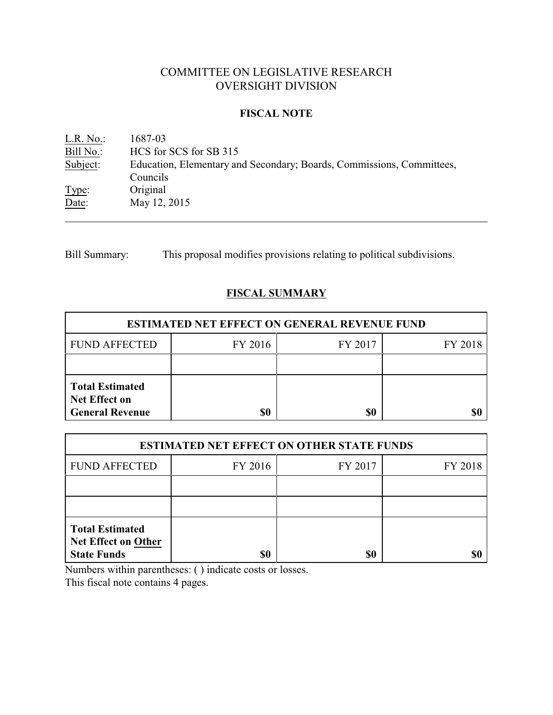# COMMITTEE ON LEGISLATIVE RESEARCH OVERSIGHT DIVISION

### **FISCAL NOTE**

<u>L.R. No.</u>: 1687-03<br>Bill No.: HCS for Bill No.: HCS for SCS for SB 315<br>Subject: Education, Elementary and Education, Elementary and Secondary; Boards, Commissions, Committees, Councils Type: Original Date: May 12, 2015

Bill Summary: This proposal modifies provisions relating to political subdivisions.

## **FISCAL SUMMARY**

| <b>ESTIMATED NET EFFECT ON GENERAL REVENUE FUND</b>                      |         |         |         |  |
|--------------------------------------------------------------------------|---------|---------|---------|--|
| <b>FUND AFFECTED</b>                                                     | FY 2016 | FY 2017 | FY 2018 |  |
|                                                                          |         |         |         |  |
| <b>Total Estimated</b><br><b>Net Effect on</b><br><b>General Revenue</b> | \$0     | \$0     |         |  |

| <b>ESTIMATED NET EFFECT ON OTHER STATE FUNDS</b>                           |         |         |         |  |
|----------------------------------------------------------------------------|---------|---------|---------|--|
| <b>FUND AFFECTED</b>                                                       | FY 2016 | FY 2017 | FY 2018 |  |
|                                                                            |         |         |         |  |
|                                                                            |         |         |         |  |
| <b>Total Estimated</b><br><b>Net Effect on Other</b><br><b>State Funds</b> | \$0     | \$0     |         |  |

Numbers within parentheses: ( ) indicate costs or losses.

This fiscal note contains 4 pages.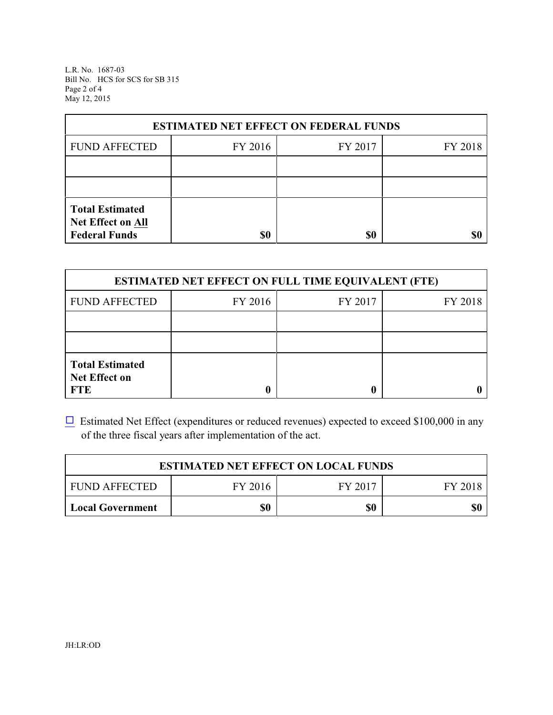L.R. No. 1687-03 Bill No. HCS for SCS for SB 315 Page 2 of 4 May 12, 2015

| <b>ESTIMATED NET EFFECT ON FEDERAL FUNDS</b>                        |         |         |         |  |
|---------------------------------------------------------------------|---------|---------|---------|--|
| <b>FUND AFFECTED</b>                                                | FY 2016 | FY 2017 | FY 2018 |  |
|                                                                     |         |         |         |  |
|                                                                     |         |         |         |  |
| <b>Total Estimated</b><br>Net Effect on All<br><b>Federal Funds</b> | \$0     | \$0     |         |  |

| <b>ESTIMATED NET EFFECT ON FULL TIME EQUIVALENT (FTE)</b>    |         |         |         |  |
|--------------------------------------------------------------|---------|---------|---------|--|
| <b>FUND AFFECTED</b>                                         | FY 2016 | FY 2017 | FY 2018 |  |
|                                                              |         |         |         |  |
|                                                              |         |         |         |  |
| <b>Total Estimated</b><br><b>Net Effect on</b><br><b>FTE</b> |         |         |         |  |

 $\Box$  Estimated Net Effect (expenditures or reduced revenues) expected to exceed \$100,000 in any of the three fiscal years after implementation of the act.

| <b>ESTIMATED NET EFFECT ON LOCAL FUNDS</b> |         |         |         |
|--------------------------------------------|---------|---------|---------|
| <b>FUND AFFECTED</b>                       | FY 2016 | FY 2017 | FY 2018 |
| <b>Local Government</b>                    | \$0     | \$0     | \$0     |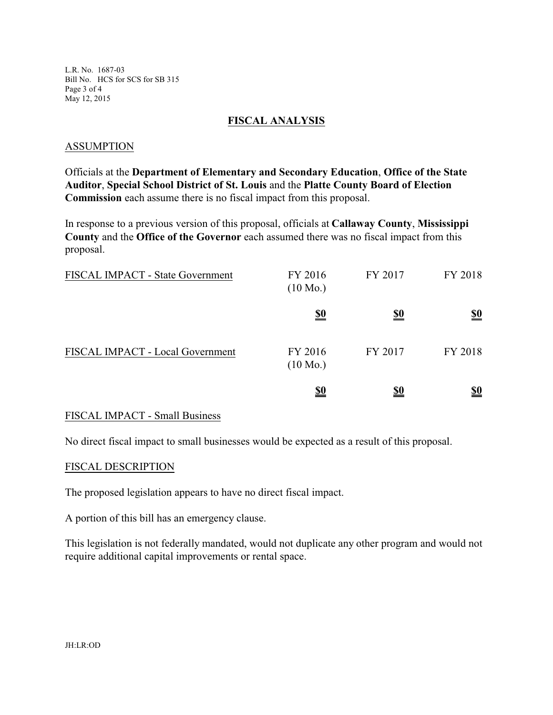L.R. No. 1687-03 Bill No. HCS for SCS for SB 315 Page 3 of 4 May 12, 2015

### **FISCAL ANALYSIS**

### ASSUMPTION

Officials at the **Department of Elementary and Secondary Education**, **Office of the State Auditor**, **Special School District of St. Louis** and the **Platte County Board of Election Commission** each assume there is no fiscal impact from this proposal.

In response to a previous version of this proposal, officials at **Callaway County**, **Mississippi County** and the **Office of the Governor** each assumed there was no fiscal impact from this proposal.

| FISCAL IMPACT - State Government | FY 2016<br>$(10 \text{ Mo.})$ | FY 2017    | FY 2018                       |
|----------------------------------|-------------------------------|------------|-------------------------------|
|                                  | <u>\$0</u>                    | <u>\$0</u> | $\underline{\underline{\$0}}$ |
| FISCAL IMPACT - Local Government | FY 2016<br>$(10 \text{ Mo.})$ | FY 2017    | FY 2018                       |
|                                  | <u>\$0</u>                    | <u>\$0</u> | <u>\$0</u>                    |

#### FISCAL IMPACT - Small Business

No direct fiscal impact to small businesses would be expected as a result of this proposal.

#### FISCAL DESCRIPTION

The proposed legislation appears to have no direct fiscal impact.

A portion of this bill has an emergency clause.

This legislation is not federally mandated, would not duplicate any other program and would not require additional capital improvements or rental space.